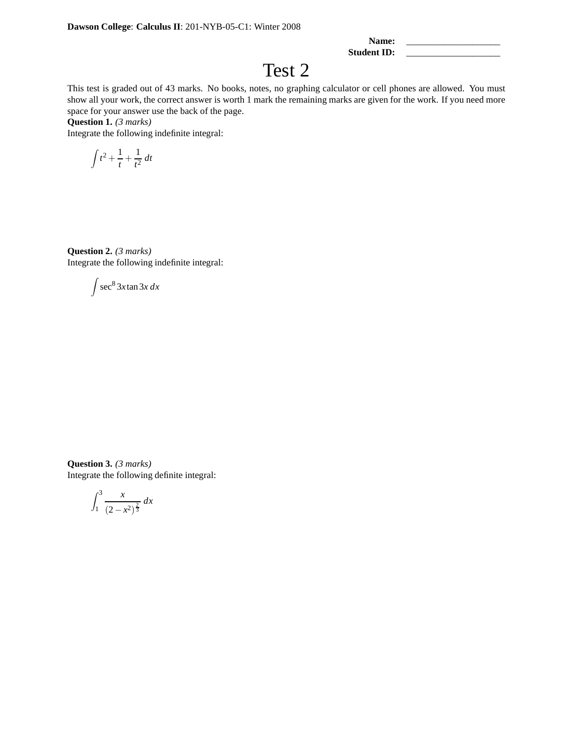| Name:       |  |
|-------------|--|
| Student ID: |  |

## Test 2

This test is graded out of 43 marks. No books, notes, no graphing calculator or cell phones are allowed. You must show all your work, the correct answer is worth 1 mark the remaining marks are given for the work. If you need more space for your answer use the back of the page.

**Question 1.** *(3 marks)*

Integrate the following indefinite integral:

$$
\int t^2 + \frac{1}{t} + \frac{1}{t^2} dt
$$

**Question 2.** *(3 marks)* Integrate the following indefinite integral:

$$
\int \sec^8 3x \tan 3x \, dx
$$

**Question 3.** *(3 marks)* Integrate the following definite integral:

$$
\int_{1}^{3} \frac{x}{(2 - x^2)^{\frac{2}{3}}} \, dx
$$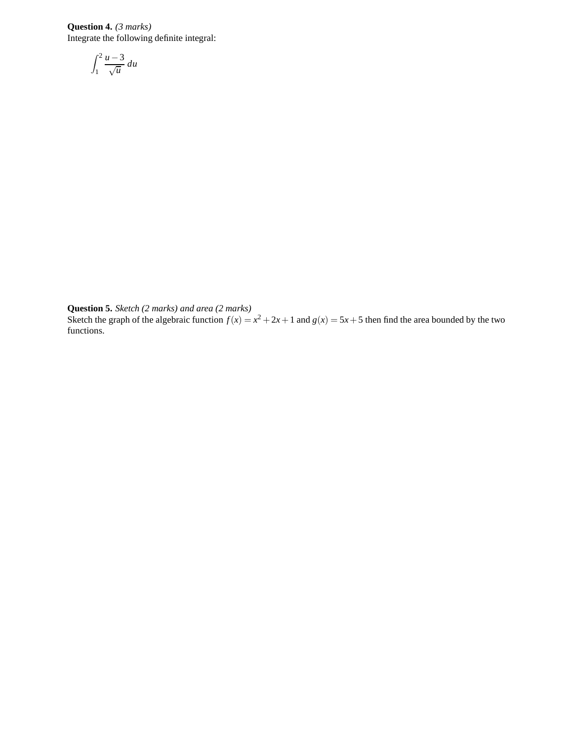**Question 4.** *(3 marks)* Integrate the following definite integral:

$$
\int_1^2 \frac{u-3}{\sqrt{u}} \, du
$$

**Question 5.** *Sketch (2 marks) and area (2 marks)*

Sketch the graph of the algebraic function  $f(x) = x^2 + 2x + 1$  and  $g(x) = 5x + 5$  then find the area bounded by the two functions.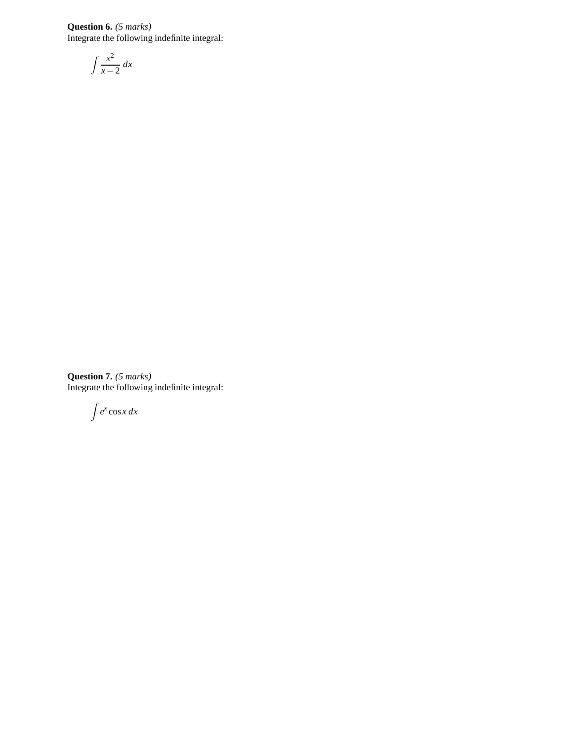**Question 6.** *(5 marks)* Integrate the following indefinite integral:

$$
\int \frac{x^2}{x-2} \, dx
$$

**Question 7.** *(5 marks)* Integrate the following indefinite integral:

 $\int e^x \cos x \, dx$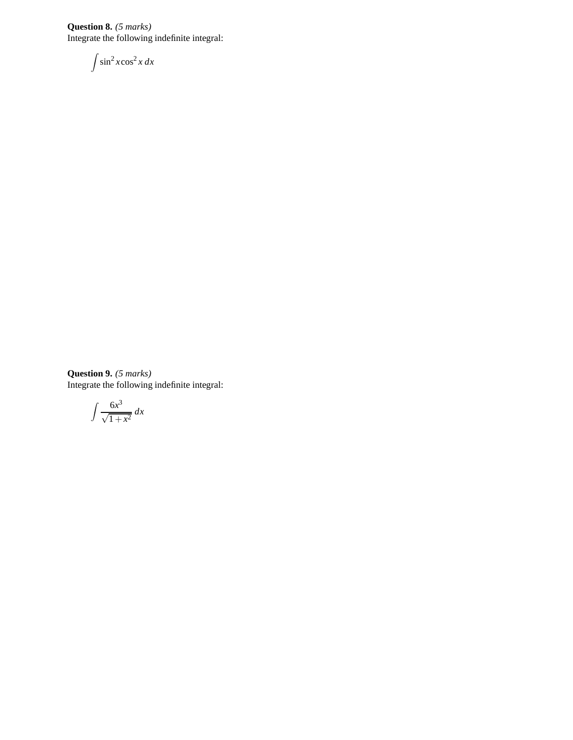**Question 8.** *(5 marks)* Integrate the following indefinite integral:

$$
\int \sin^2 x \cos^2 x \, dx
$$

**Question 9.** *(5 marks)* Integrate the following indefinite integral:

$$
\int \frac{6x^3}{\sqrt{1+x^2}} \, dx
$$